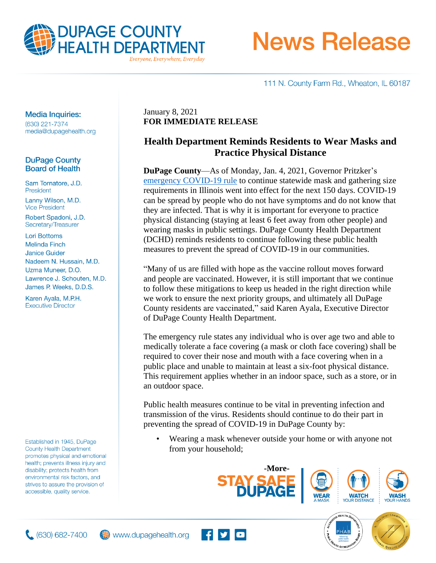

# **News Release**

111 N. County Farm Rd., Wheaton, IL 60187

#### **Media Inquiries:**

(630) 221-7374 media@dupagehealth.org

#### **DuPage County Board of Health**

Sam Tornatore, J.D. President Lanny Wilson, M.D. **Vice President** 

Robert Spadoni, J.D. Secretary/Treasurer

**Lori Bottoms Melinda Finch Janice Guider** Nadeem N. Hussain, M.D. Uzma Muneer, D.O. Lawrence J. Schouten, M.D. James P. Weeks, D.D.S.

Karen Ayala, M.P.H. **Executive Director** 

Established in 1945, DuPage **County Health Department** promotes physical and emotional health; prevents illness injury and disability; protects health from environmental risk factors, and strives to assure the provision of accessible, quality service.

January 8, 2021 **FOR IMMEDIATE RELEASE**

## **Health Department Reminds Residents to Wear Masks and Practice Physical Distance**

**DuPage County**—As of Monday, Jan. 4, 2021, Governor Pritzker's [emergency COVID-19 rule](http://dph.illinois.gov/sites/default/files/COVID19/77-690.50%20Emergency%20Rule_Mask%20Mandate_010421.pdf) to continue statewide mask and gathering size requirements in Illinois went into effect for the next 150 days. COVID-19 can be spread by people who do not have symptoms and do not know that they are infected. That is why it is important for everyone to practice physical distancing (staying at least 6 feet away from other people) and wearing masks in public settings. DuPage County Health Department (DCHD) reminds residents to continue following these public health measures to prevent the spread of COVID-19 in our communities.

"Many of us are filled with hope as the vaccine rollout moves forward and people are vaccinated. However, it is still important that we continue to follow these mitigations to keep us headed in the right direction while we work to ensure the next priority groups, and ultimately all DuPage County residents are vaccinated," said Karen Ayala, Executive Director of DuPage County Health Department.

The emergency rule states any individual who is over age two and able to medically tolerate a face covering (a mask or cloth face covering) shall be required to cover their nose and mouth with a face covering when in a public place and unable to maintain at least a six-foot physical distance. This requirement applies whether in an indoor space, such as a store, or in an outdoor space.

Public health measures continue to be vital in preventing infection and transmission of the virus. Residents should continue to do their part in preventing the spread of COVID-19 in DuPage County by:

**FIV** 

• Wearing a mask whenever outside your home or with anyone not from your household;